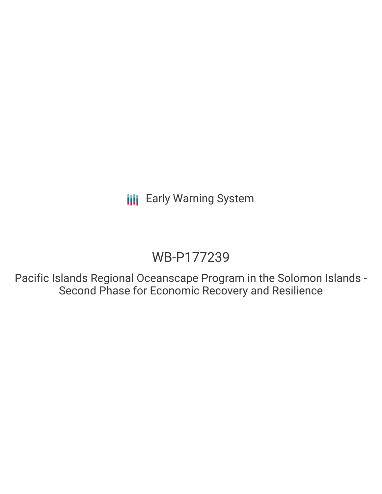# WB-P177239

Pacific Islands Regional Oceanscape Program in the Solomon Islands - Second Phase for Economic Recovery and Resilience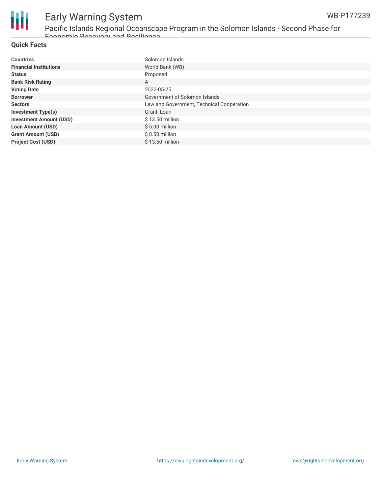

Pacific Islands Regional Oceanscape Program in the Solomon Islands - Second Phase for Economic Recovery and Resilience

#### **Quick Facts**

| <b>Countries</b>               | Solomon Islands                           |
|--------------------------------|-------------------------------------------|
| <b>Financial Institutions</b>  | World Bank (WB)                           |
| <b>Status</b>                  | Proposed                                  |
| <b>Bank Risk Rating</b>        | A                                         |
| <b>Voting Date</b>             | 2022-05-25                                |
| <b>Borrower</b>                | Government of Solomon Islands             |
| <b>Sectors</b>                 | Law and Government, Technical Cooperation |
| <b>Investment Type(s)</b>      | Grant, Loan                               |
| <b>Investment Amount (USD)</b> | \$13.50 million                           |
| <b>Loan Amount (USD)</b>       | $$5.00$ million                           |
| <b>Grant Amount (USD)</b>      | $$8.50$ million                           |
| <b>Project Cost (USD)</b>      | $$13.50$ million                          |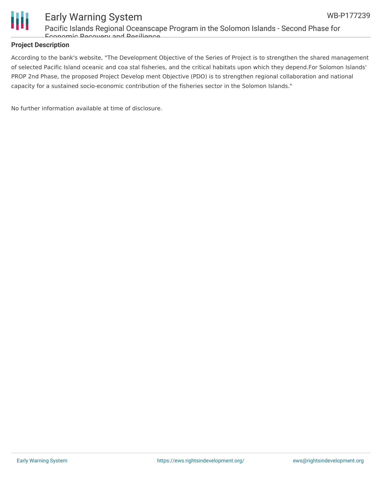

Pacific Islands Regional Oceanscape Program in the Solomon Islands - Second Phase for Economic Recovery and Resilience

#### **Project Description**

According to the bank's website, "The Development Objective of the Series of Project is to strengthen the shared management of selected Pacific Island oceanic and coa stal fisheries, and the critical habitats upon which they depend.For Solomon Islands' PROP 2nd Phase, the proposed Project Develop ment Objective (PDO) is to strengthen regional collaboration and national capacity for a sustained socio-economic contribution of the fisheries sector in the Solomon Islands."

No further information available at time of disclosure.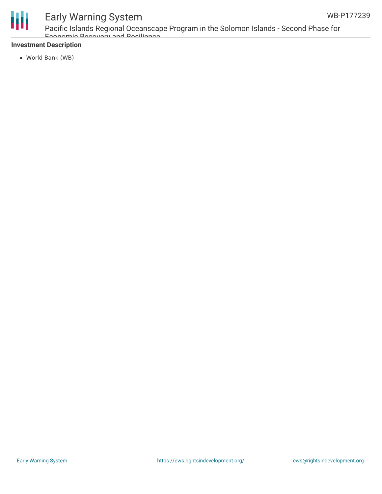

Pacific Islands Regional Oceanscape Program in the Solomon Islands - Second Phase for Economic Recovery and Resilience

#### **Investment Description**

World Bank (WB)